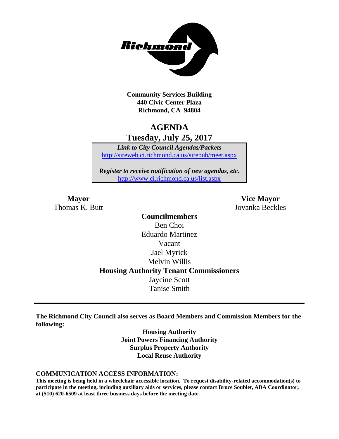

**Community Services Building 440 Civic Center Plaza Richmond, CA 94804**

# **AGENDA Tuesday, July 25, 2017**

*Link to City Council Agendas/Packets* <http://sireweb.ci.richmond.ca.us/sirepub/meet.aspx>

*Register to receive notification of new agendas, etc.* <http://www.ci.richmond.ca.us/list.aspx>

Thomas K. Butt Jovanka Beckles

**Mayor Vice Mayor**

# **Councilmembers** Ben Choi Eduardo Martinez Vacant Jael Myrick Melvin Willis **Housing Authority Tenant Commissioners** Jaycine Scott Tanise Smith

**The Richmond City Council also serves as Board Members and Commission Members for the following:**

> **Housing Authority Joint Powers Financing Authority Surplus Property Authority Local Reuse Authority**

#### **COMMUNICATION ACCESS INFORMATION:**

**This meeting is being held in a wheelchair accessible location. To request disability-related accommodation(s) to participate in the meeting, including auxiliary aids or services, please contact Bruce Soublet, ADA Coordinator, at (510) 620-6509 at least three business days before the meeting date.**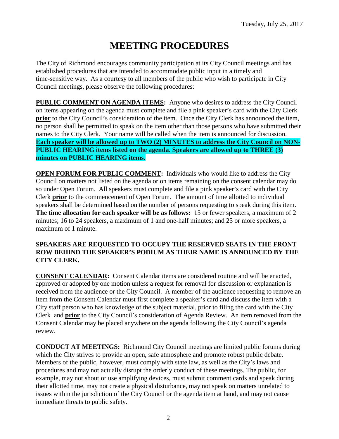# **MEETING PROCEDURES**

The City of Richmond encourages community participation at its City Council meetings and has established procedures that are intended to accommodate public input in a timely and time-sensitive way. As a courtesy to all members of the public who wish to participate in City Council meetings, please observe the following procedures:

**PUBLIC COMMENT ON AGENDA ITEMS:** Anyone who desires to address the City Council on items appearing on the agenda must complete and file a pink speaker's card with the City Clerk **prior** to the City Council's consideration of the item. Once the City Clerk has announced the item, no person shall be permitted to speak on the item other than those persons who have submitted their names to the City Clerk. Your name will be called when the item is announced for discussion. **Each speaker will be allowed up to TWO (2) MINUTES to address the City Council on NON-PUBLIC HEARING items listed on the agenda. Speakers are allowed up to THREE (3) minutes on PUBLIC HEARING items.**

**OPEN FORUM FOR PUBLIC COMMENT:** Individuals who would like to address the City Council on matters not listed on the agenda or on items remaining on the consent calendar may do so under Open Forum. All speakers must complete and file a pink speaker's card with the City Clerk **prior** to the commencement of Open Forum. The amount of time allotted to individual speakers shall be determined based on the number of persons requesting to speak during this item. **The time allocation for each speaker will be as follows:** 15 or fewer speakers, a maximum of 2 minutes; 16 to 24 speakers, a maximum of 1 and one-half minutes; and 25 or more speakers, a maximum of 1 minute.

#### **SPEAKERS ARE REQUESTED TO OCCUPY THE RESERVED SEATS IN THE FRONT ROW BEHIND THE SPEAKER'S PODIUM AS THEIR NAME IS ANNOUNCED BY THE CITY CLERK.**

**CONSENT CALENDAR:** Consent Calendar items are considered routine and will be enacted, approved or adopted by one motion unless a request for removal for discussion or explanation is received from the audience or the City Council. A member of the audience requesting to remove an item from the Consent Calendar must first complete a speaker's card and discuss the item with a City staff person who has knowledge of the subject material, prior to filing the card with the City Clerk and **prior** to the City Council's consideration of Agenda Review. An item removed from the Consent Calendar may be placed anywhere on the agenda following the City Council's agenda review.

**CONDUCT AT MEETINGS:** Richmond City Council meetings are limited public forums during which the City strives to provide an open, safe atmosphere and promote robust public debate. Members of the public, however, must comply with state law, as well as the City's laws and procedures and may not actually disrupt the orderly conduct of these meetings. The public, for example, may not shout or use amplifying devices, must submit comment cards and speak during their allotted time, may not create a physical disturbance, may not speak on matters unrelated to issues within the jurisdiction of the City Council or the agenda item at hand, and may not cause immediate threats to public safety.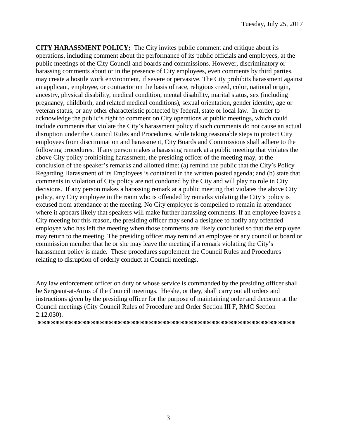**CITY HARASSMENT POLICY:** The City invites public comment and critique about its operations, including comment about the performance of its public officials and employees, at the public meetings of the City Council and boards and commissions. However, discriminatory or harassing comments about or in the presence of City employees, even comments by third parties, may create a hostile work environment, if severe or pervasive. The City prohibits harassment against an applicant, employee, or contractor on the basis of race, religious creed, color, national origin, ancestry, physical disability, medical condition, mental disability, marital status, sex (including pregnancy, childbirth, and related medical conditions), sexual orientation, gender identity, age or veteran status, or any other characteristic protected by federal, state or local law. In order to acknowledge the public's right to comment on City operations at public meetings, which could include comments that violate the City's harassment policy if such comments do not cause an actual disruption under the Council Rules and Procedures, while taking reasonable steps to protect City employees from discrimination and harassment, City Boards and Commissions shall adhere to the following procedures. If any person makes a harassing remark at a public meeting that violates the above City policy prohibiting harassment, the presiding officer of the meeting may, at the conclusion of the speaker's remarks and allotted time: (a) remind the public that the City's Policy Regarding Harassment of its Employees is contained in the written posted agenda; and (b) state that comments in violation of City policy are not condoned by the City and will play no role in City decisions. If any person makes a harassing remark at a public meeting that violates the above City policy, any City employee in the room who is offended by remarks violating the City's policy is excused from attendance at the meeting. No City employee is compelled to remain in attendance where it appears likely that speakers will make further harassing comments. If an employee leaves a City meeting for this reason, the presiding officer may send a designee to notify any offended employee who has left the meeting when those comments are likely concluded so that the employee may return to the meeting. The presiding officer may remind an employee or any council or board or commission member that he or she may leave the meeting if a remark violating the City's harassment policy is made. These procedures supplement the Council Rules and Procedures relating to disruption of orderly conduct at Council meetings.

Any law enforcement officer on duty or whose service is commanded by the presiding officer shall be Sergeant-at-Arms of the Council meetings. He/she, or they, shall carry out all orders and instructions given by the presiding officer for the purpose of maintaining order and decorum at the Council meetings (City Council Rules of Procedure and Order Section III F, RMC Section 2.12.030).

**\*\*\*\*\*\*\*\*\*\*\*\*\*\*\*\*\*\*\*\*\*\*\*\*\*\*\*\*\*\*\*\*\*\*\*\*\*\*\*\*\*\*\*\*\*\*\*\*\*\*\*\*\*\*\*\*\*\***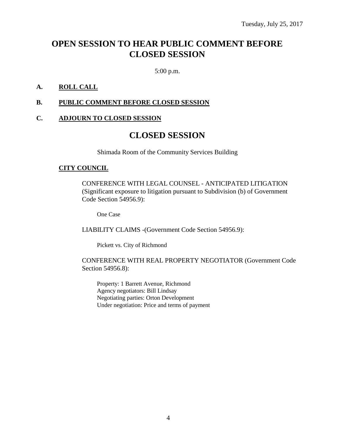# **OPEN SESSION TO HEAR PUBLIC COMMENT BEFORE CLOSED SESSION**

5:00 p.m.

# **A. ROLL CALL**

#### **B. PUBLIC COMMENT BEFORE CLOSED SESSION**

#### **C. ADJOURN TO CLOSED SESSION**

# **CLOSED SESSION**

Shimada Room of the Community Services Building

#### **CITY COUNCIL**

CONFERENCE WITH LEGAL COUNSEL - ANTICIPATED LITIGATION (Significant exposure to litigation pursuant to Subdivision (b) of Government Code Section 54956.9):

One Case

LIABILITY CLAIMS -(Government Code Section 54956.9):

Pickett vs. City of Richmond

CONFERENCE WITH REAL PROPERTY NEGOTIATOR (Government Code Section 54956.8):

Property: 1 Barrett Avenue, Richmond Agency negotiators: Bill Lindsay Negotiating parties: Orton Development Under negotiation: Price and terms of payment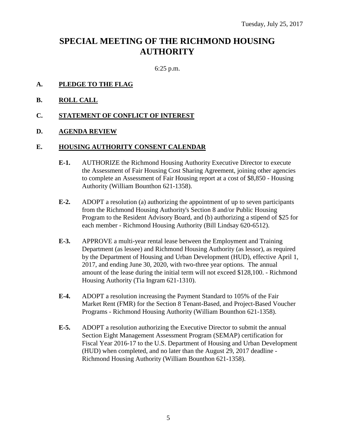# **SPECIAL MEETING OF THE RICHMOND HOUSING AUTHORITY**

6:25 p.m.

- **A. PLEDGE TO THE FLAG**
- **B. ROLL CALL**
- **C. STATEMENT OF CONFLICT OF INTEREST**
- **D. AGENDA REVIEW**

#### **E. HOUSING AUTHORITY CONSENT CALENDAR**

- **E-1.** AUTHORIZE the Richmond Housing Authority Executive Director to execute the Assessment of Fair Housing Cost Sharing Agreement, joining other agencies to complete an Assessment of Fair Housing report at a cost of \$8,850 - Housing Authority (William Bounthon 621-1358).
- **E-2.** ADOPT a resolution (a) authorizing the appointment of up to seven participants from the Richmond Housing Authority's Section 8 and/or Public Housing Program to the Resident Advisory Board, and (b) authorizing a stipend of \$25 for each member - Richmond Housing Authority (Bill Lindsay 620-6512).
- **E-3.** APPROVE a multi-year rental lease between the Employment and Training Department (as lessee) and Richmond Housing Authority (as lessor), as required by the Department of Housing and Urban Development (HUD), effective April 1, 2017, and ending June 30, 2020, with two-three year options. The annual amount of the lease during the initial term will not exceed \$128,100. - Richmond Housing Authority (Tia Ingram 621-1310).
- **E-4.** ADOPT a resolution increasing the Payment Standard to 105% of the Fair Market Rent (FMR) for the Section 8 Tenant-Based, and Project-Based Voucher Programs - Richmond Housing Authority (William Bounthon 621-1358).
- **E-5.** ADOPT a resolution authorizing the Executive Director to submit the annual Section Eight Management Assessment Program (SEMAP) certification for Fiscal Year 2016-17 to the U.S. Department of Housing and Urban Development (HUD) when completed, and no later than the August 29, 2017 deadline - Richmond Housing Authority (William Bounthon 621-1358).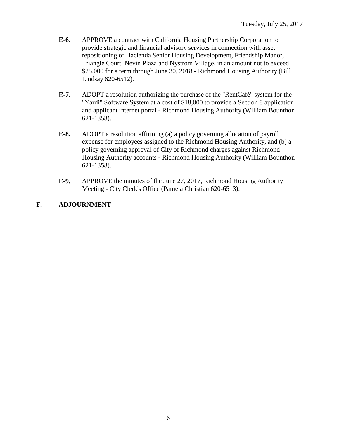- **E-6.** APPROVE a contract with California Housing Partnership Corporation to provide strategic and financial advisory services in connection with asset repositioning of Hacienda Senior Housing Development, Friendship Manor, Triangle Court, Nevin Plaza and Nystrom Village, in an amount not to exceed \$25,000 for a term through June 30, 2018 - Richmond Housing Authority (Bill Lindsay 620-6512).
- **E-7.** ADOPT a resolution authorizing the purchase of the "RentCafé" system for the "Yardi" Software System at a cost of \$18,000 to provide a Section 8 application and applicant internet portal - Richmond Housing Authority (William Bounthon 621-1358).
- **E-8.** ADOPT a resolution affirming (a) a policy governing allocation of payroll expense for employees assigned to the Richmond Housing Authority, and (b) a policy governing approval of City of Richmond charges against Richmond Housing Authority accounts - Richmond Housing Authority (William Bounthon 621-1358).
- **E-9.** APPROVE the minutes of the June 27, 2017, Richmond Housing Authority Meeting - City Clerk's Office (Pamela Christian 620-6513).

# **F. ADJOURNMENT**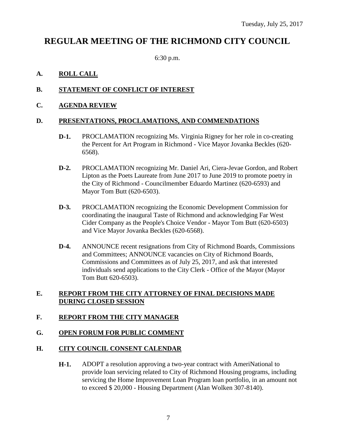# **REGULAR MEETING OF THE RICHMOND CITY COUNCIL**

6:30 p.m.

# **A. ROLL CALL**

# **B. STATEMENT OF CONFLICT OF INTEREST**

# **C. AGENDA REVIEW**

# **D. PRESENTATIONS, PROCLAMATIONS, AND COMMENDATIONS**

- **D-1.** PROCLAMATION recognizing Ms. Virginia Rigney for her role in co-creating the Percent for Art Program in Richmond - Vice Mayor Jovanka Beckles (620- 6568).
- **D-2.** PROCLAMATION recognizing Mr. Daniel Ari, Ciera-Jevae Gordon, and Robert Lipton as the Poets Laureate from June 2017 to June 2019 to promote poetry in the City of Richmond - Councilmember Eduardo Martinez (620-6593) and Mayor Tom Butt (620-6503).
- **D-3.** PROCLAMATION recognizing the Economic Development Commission for coordinating the inaugural Taste of Richmond and acknowledging Far West Cider Company as the People's Choice Vendor - Mayor Tom Butt (620-6503) and Vice Mayor Jovanka Beckles (620-6568).
- **D-4.** ANNOUNCE recent resignations from City of Richmond Boards, Commissions and Committees; ANNOUNCE vacancies on City of Richmond Boards, Commissions and Committees as of July 25, 2017, and ask that interested individuals send applications to the City Clerk - Office of the Mayor (Mayor Tom Butt 620-6503).

#### **E. REPORT FROM THE CITY ATTORNEY OF FINAL DECISIONS MADE DURING CLOSED SESSION**

# **F. REPORT FROM THE CITY MANAGER**

# **G. OPEN FORUM FOR PUBLIC COMMENT**

#### **H. CITY COUNCIL CONSENT CALENDAR**

**H-1.** ADOPT a resolution approving a two-year contract with AmeriNational to provide loan servicing related to City of Richmond Housing programs, including servicing the Home Improvement Loan Program loan portfolio, in an amount not to exceed \$ 20,000 - Housing Department (Alan Wolken 307-8140).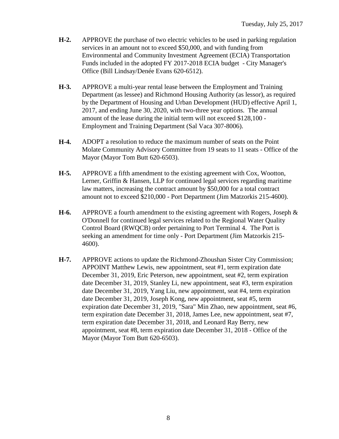- **H-2.** APPROVE the purchase of two electric vehicles to be used in parking regulation services in an amount not to exceed \$50,000, and with funding from Environmental and Community Investment Agreement (ECIA) Transportation Funds included in the adopted FY 2017-2018 ECIA budget - City Manager's Office (Bill Lindsay/Denée Evans 620-6512).
- **H-3.** APPROVE a multi-year rental lease between the Employment and Training Department (as lessee) and Richmond Housing Authority (as lessor), as required by the Department of Housing and Urban Development (HUD) effective April 1, 2017, and ending June 30, 2020, with two-three year options. The annual amount of the lease during the initial term will not exceed \$128,100 - Employment and Training Department (Sal Vaca 307-8006).
- **H-4.** ADOPT a resolution to reduce the maximum number of seats on the Point Molate Community Advisory Committee from 19 seats to 11 seats - Office of the Mayor (Mayor Tom Butt 620-6503).
- **H-5.** APPROVE a fifth amendment to the existing agreement with Cox, Wootton, Lerner, Griffin & Hansen, LLP for continued legal services regarding maritime law matters, increasing the contract amount by \$50,000 for a total contract amount not to exceed \$210,000 - Port Department (Jim Matzorkis 215-4600).
- **H-6.** APPROVE a fourth amendment to the existing agreement with Rogers, Joseph & O'Donnell for continued legal services related to the Regional Water Quality Control Board (RWQCB) order pertaining to Port Terminal 4. The Port is seeking an amendment for time only - Port Department (Jim Matzorkis 215- 4600).
- **H-7.** APPROVE actions to update the Richmond-Zhoushan Sister City Commission; APPOINT Matthew Lewis, new appointment, seat #1, term expiration date December 31, 2019, Eric Peterson, new appointment, seat #2, term expiration date December 31, 2019, Stanley Li, new appointment, seat #3, term expiration date December 31, 2019, Yang Liu, new appointment, seat #4, term expiration date December 31, 2019, Joseph Kong, new appointment, seat #5, term expiration date December 31, 2019, "Sara" Min Zhao, new appointment, seat #6, term expiration date December 31, 2018, James Lee, new appointment, seat #7, term expiration date December 31, 2018, and Leonard Ray Berry, new appointment, seat #8, term expiration date December 31, 2018 - Office of the Mayor (Mayor Tom Butt 620-6503).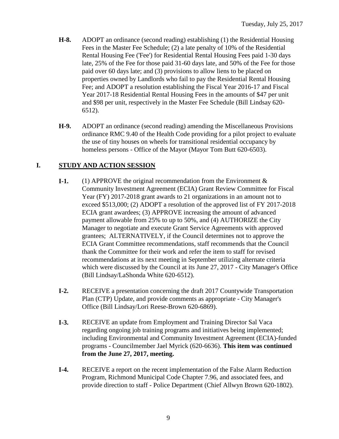- **H-8.** ADOPT an ordinance (second reading) establishing (1) the Residential Housing Fees in the Master Fee Schedule; (2) a late penalty of 10% of the Residential Rental Housing Fee ('Fee') for Residential Rental Housing Fees paid 1-30 days late, 25% of the Fee for those paid 31-60 days late, and 50% of the Fee for those paid over 60 days late; and (3) provisions to allow liens to be placed on properties owned by Landlords who fail to pay the Residential Rental Housing Fee; and ADOPT a resolution establishing the Fiscal Year 2016-17 and Fiscal Year 2017-18 Residential Rental Housing Fees in the amounts of \$47 per unit and \$98 per unit, respectively in the Master Fee Schedule (Bill Lindsay 620- 6512).
- **H-9.** ADOPT an ordinance (second reading) amending the Miscellaneous Provisions ordinance RMC 9.40 of the Health Code providing for a pilot project to evaluate the use of tiny houses on wheels for transitional residential occupancy by homeless persons - Office of the Mayor (Mayor Tom Butt 620-6503).

#### **I. STUDY AND ACTION SESSION**

- **I-1.** (1) APPROVE the original recommendation from the Environment & Community Investment Agreement (ECIA) Grant Review Committee for Fiscal Year (FY) 2017-2018 grant awards to 21 organizations in an amount not to exceed \$513,000; (2) ADOPT a resolution of the approved list of FY 2017-2018 ECIA grant awardees; (3) APPROVE increasing the amount of advanced payment allowable from 25% to up to 50%, and (4) AUTHORIZE the City Manager to negotiate and execute Grant Service Agreements with approved grantees; ALTERNATIVELY, if the Council determines not to approve the ECIA Grant Committee recommendations, staff recommends that the Council thank the Committee for their work and refer the item to staff for revised recommendations at its next meeting in September utilizing alternate criteria which were discussed by the Council at its June 27, 2017 - City Manager's Office (Bill Lindsay/LaShonda White 620-6512).
- **I-2.** RECEIVE a presentation concerning the draft 2017 Countywide Transportation Plan (CTP) Update, and provide comments as appropriate - City Manager's Office (Bill Lindsay/Lori Reese-Brown 620-6869).
- **I-3.** RECEIVE an update from Employment and Training Director Sal Vaca regarding ongoing job training programs and initiatives being implemented; including Environmental and Community Investment Agreement (ECIA)-funded programs - Councilmember Jael Myrick (620-6636). **This item was continued from the June 27, 2017, meeting.**
- **I-4.** RECEIVE a report on the recent implementation of the False Alarm Reduction Program, Richmond Municipal Code Chapter 7.96, and associated fees, and provide direction to staff - Police Department (Chief Allwyn Brown 620-1802).